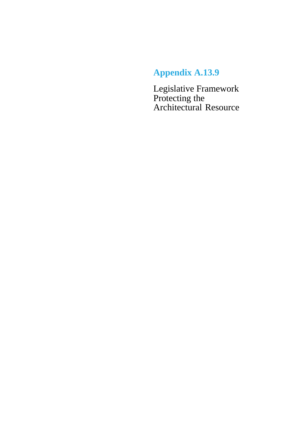# **Appendix A.13.9**

Legislative Framework Protecting the Architectural Resource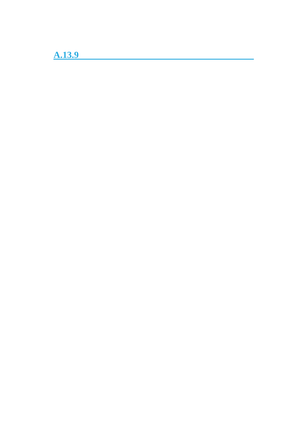**A.13.9**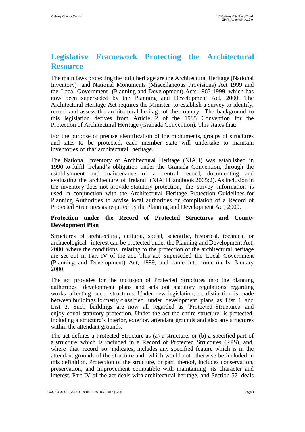# **Legislative Framework Protecting the Architectural Resource**

The main laws protecting the built heritage are the Architectural Heritage (National Inventory) and National Monuments (Miscellaneous Provisions) Act 1999 and the Local Government (Planning and Development) Acts 1963-1999, which has now been superseded by the Planning and Development Act, 2000. The Architectural Heritage Act requires the Minister to establish a survey to identify, record and assess the architectural heritage of the country. The background to this legislation derives from Article 2 of the 1985 Convention for the Protection of Architectural Heritage (Granada Convention). This states that:

For the purpose of precise identification of the monuments, groups of structures and sites to be protected, each member state will undertake to maintain inventories of that architectural heritage.

The National Inventory of Architectural Heritage (NIAH) was established in 1990 to fulfil Ireland's obligation under the Granada Convention, through the establishment and maintenance of a central record, documenting and evaluating the architecture of Ireland (NIAH Handbook 2005:2). As inclusion in the inventory does not provide statutory protection, the survey information is used in conjunction with the Architectural Heritage Protection Guidelines for Planning Authorities to advise local authorities on compilation of a Record of Protected Structures as required by the Planning and Development Act, 2000.

# **Protection under the Record of Protected Structures and County Development Plan**

Structures of architectural, cultural, social, scientific, historical, technical or archaeological interest can be protected under the Planning and Development Act, 2000, where the conditions relating to the protection of the architectural heritage are set out in Part IV of the act. This act superseded the Local Government (Planning and Development) Act, 1999, and came into force on 1st January 2000.

The act provides for the inclusion of Protected Structures into the planning authorities' development plans and sets out statutory regulations regarding works affecting such structures. Under new legislation, no distinction is made between buildings formerly classified under development plans as List 1 and List 2. Such buildings are now all regarded as 'Protected Structures' and enjoy equal statutory protection. Under the act the entire structure is protected, including a structure's interior, exterior, attendant grounds and also any structures within the attendant grounds.

The act defines a Protected Structure as (a) a structure, or (b) a specified part of a structure which is included in a Record of Protected Structures (RPS), and, where that record so indicates, includes any specified feature which is in the attendant grounds of the structure and which would not otherwise be included in this definition. Protection of the structure, or part thereof, includes conservation, preservation, and improvement compatible with maintaining its character and interest. Part IV of the act deals with architectural heritage, and Section 57 deals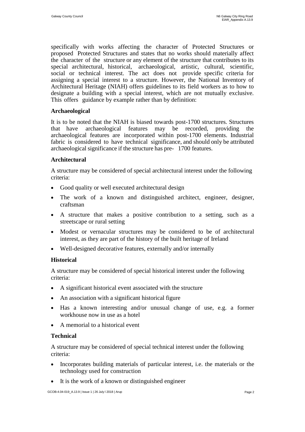specifically with works affecting the character of Protected Structures or proposed Protected Structures and states that no works should materially affect the character of the structure or any element of the structure that contributes to its special architectural, historical, archaeological, artistic, cultural, scientific, social or technical interest. The act does not provide specific criteria for assigning a special interest to a structure. However, the National Inventory of Architectural Heritage (NIAH) offers guidelines to its field workers as to how to designate a building with a special interest, which are not mutually exclusive. This offers guidance by example rather than by definition:

# **Archaeological**

It is to be noted that the NIAH is biased towards post-1700 structures. Structures that have archaeological features may be recorded, providing the that have archaeological features may be recorded, providing the archaeological features are incorporated within post-1700 elements. Industrial fabric is considered to have technical significance, and should only be attributed archaeological significance if the structure has pre- 1700 features.

# **Architectural**

A structure may be considered of special architectural interest under the following criteria:

- Good quality or well executed architectural design
- The work of a known and distinguished architect, engineer, designer, craftsman
- A structure that makes a positive contribution to a setting, such as a streetscape or rural setting
- Modest or vernacular structures may be considered to be of architectural interest, as they are part of the history of the built heritage of Ireland
- Well-designed decorative features, externally and/or internally

# **Historical**

A structure may be considered of special historical interest under the following criteria:

- A significant historical event associated with the structure
- An association with a significant historical figure
- Has a known interesting and/or unusual change of use, e.g. a former workhouse now in use as a hotel
- A memorial to a historical event

# **Technical**

A structure may be considered of special technical interest under the following criteria:

- Incorporates building materials of particular interest, i.e. the materials or the technology used for construction
- It is the work of a known or distinguished engineer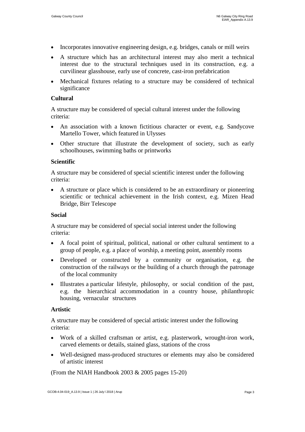- Incorporates innovative engineering design, e.g. bridges, canals or mill weirs
- A structure which has an architectural interest may also merit a technical interest due to the structural techniques used in its construction, e.g. a curvilinear glasshouse, early use of concrete, cast-iron prefabrication
- Mechanical fixtures relating to a structure may be considered of technical significance

# **Cultural**

A structure may be considered of special cultural interest under the following criteria:

- An association with a known fictitious character or event, e.g. Sandycove Martello Tower, which featured in Ulysses
- Other structure that illustrate the development of society, such as early schoolhouses, swimming baths or printworks

#### **Scientific**

A structure may be considered of special scientific interest under the following criteria:

 A structure or place which is considered to be an extraordinary or pioneering scientific or technical achievement in the Irish context, e.g. Mizen Head Bridge, Birr Telescope

#### **Social**

A structure may be considered of special social interest under the following criteria:

- A focal point of spiritual, political, national or other cultural sentiment to a group of people, e.g. a place of worship, a meeting point, assembly rooms
- Developed or constructed by a community or organisation, e.g. the construction of the railways or the building of a church through the patronage of the local community
- Illustrates a particular lifestyle, philosophy, or social condition of the past, e.g. the hierarchical accommodation in a country house, philanthropic housing, vernacular structures

#### **Artistic**

A structure may be considered of special artistic interest under the following criteria:

- Work of a skilled craftsman or artist, e.g. plasterwork, wrought-iron work, carved elements or details, stained glass, stations of the cross
- Well-designed mass-produced structures or elements may also be considered of artistic interest

(From the NIAH Handbook 2003 & 2005 pages 15-20)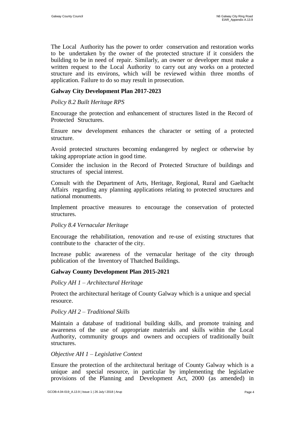The Local Authority has the power to order conservation and restoration works to be undertaken by the owner of the protected structure if it considers the building to be in need of repair. Similarly, an owner or developer must make a written request to the Local Authority to carry out any works on a protected structure and its environs, which will be reviewed within three months of application. Failure to do so may result in prosecution.

# **Galway City Development Plan 2017-2023**

#### *Policy 8.2 Built Heritage RPS*

Encourage the protection and enhancement of structures listed in the Record of Protected Structures.

Ensure new development enhances the character or setting of a protected structure.

Avoid protected structures becoming endangered by neglect or otherwise by taking appropriate action in good time.

Consider the inclusion in the Record of Protected Structure of buildings and structures of special interest.

Consult with the Department of Arts, Heritage, Regional, Rural and Gaeltacht Affairs regarding any planning applications relating to protected structures and national monuments.

Implement proactive measures to encourage the conservation of protected structures.

#### *Policy 8.4 Vernacular Heritage*

Encourage the rehabilitation, renovation and re-use of existing structures that contribute to the character of the city.

Increase public awareness of the vernacular heritage of the city through publication of the Inventory of Thatched Buildings.

#### **Galway County Development Plan 2015-2021**

*Policy AH 1 – Architectural Heritage*

Protect the architectural heritage of County Galway which is a unique and special resource.

#### *Policy AH 2 – Traditional Skills*

Maintain a database of traditional building skills, and promote training and awareness of the use of appropriate materials and skills within the Local Authority, community groups and owners and occupiers of traditionally built structures.

# *Objective AH 1 – Legislative Context*

Ensure the protection of the architectural heritage of County Galway which is a unique and special resource, in particular by implementing the legislative provisions of the Planning and Development Act, 2000 (as amended) in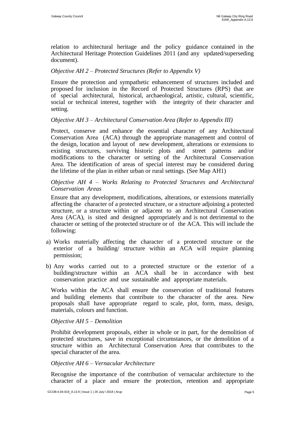relation to architectural heritage and the policy guidance contained in the Architectural Heritage Protection Guidelines 2011 (and any updated/superseding document).

# *Objective AH 2 – Protected Structures (Refer to Appendix V)*

Ensure the protection and sympathetic enhancement of structures included and proposed for inclusion in the Record of Protected Structures (RPS) that are of special architectural, historical, archaeological, artistic, cultural, scientific, social or technical interest, together with the integrity of their character and setting.

# *Objective AH 3 – Architectural Conservation Area (Refer to Appendix III)*

Protect, conserve and enhance the essential character of any Architectural Conservation Area (ACA) through the appropriate management and control of the design, location and layout of new development, alterations or extensions to existing structures, surviving historic plots and street patterns and/or modifications to the character or setting of the Architectural Conservation Area. The identification of areas of special interest may be considered during the lifetime of the plan in either urban or rural settings. (See Map AH1)

# *Objective AH 4 – Works Relating to Protected Structures and Architectural Conservation Areas*

Ensure that any development, modifications, alterations, or extensions materially affecting the character of a protected structure, or a structure adjoining a protected structure, or a structure within or adjacent to an Architectural Conservation Area (ACA), is sited and designed appropriately and is not detrimental to the character or setting of the protected structure or of the ACA. This will include the following:

- a) Works materially affecting the character of a protected structure or the exterior of a building/ structure within an ACA will require planning permission;
- b) Any works carried out to a protected structure or the exterior of a building/structure within an ACA shall be in accordance with best conservation practice and use sustainable and appropriate materials.

Works within the ACA shall ensure the conservation of traditional features and building elements that contribute to the character of the area. New proposals shall have appropriate regard to scale, plot, form, mass, design, materials, colours and function.

#### *Objective AH 5 – Demolition*

Prohibit development proposals, either in whole or in part, for the demolition of protected structures, save in exceptional circumstances, or the demolition of a structure within an Architectural Conservation Area that contributes to the special character of the area.

#### *Objective AH 6 – Vernacular Architecture*

Recognise the importance of the contribution of vernacular architecture to the character of a place and ensure the protection, retention and appropriate